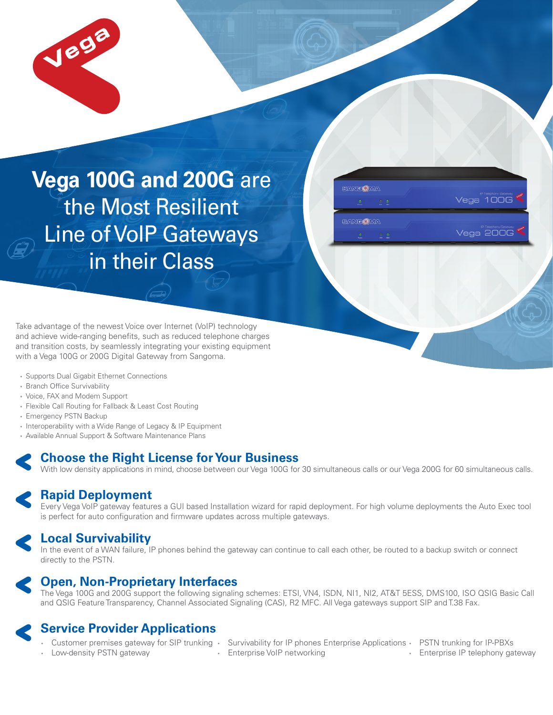

# **Vega 100G and 200G** are the Most Resilient Line of VoIP Gateways in their Class



Take advantage of the newest Voice over Internet (VoIP) technology and achieve wide-ranging benefits, such as reduced telephone charges and transition costs, by seamlessly integrating your existing equipment with a Vega 100G or 200G Digital Gateway from Sangoma.

- Supports Dual Gigabit Ethernet Connections
- Branch Office Survivability
- Voice, FAX and Modem Support
- Flexible Call Routing for Fallback & Least Cost Routing
- Emergency PSTN Backup
- Interoperability with a Wide Range of Legacy & IP Equipment
- Available Annual Support & Software Maintenance Plans

## **Choose the Right License for Your Business**

With low density applications in mind, choose between our Vega 100G for 30 simultaneous calls or our Vega 200G for 60 simultaneous calls.

## **Rapid Deployment**

Every Vega VoIP gateway features a GUI based Installation wizard for rapid deployment. For high volume deployments the Auto Exec tool is perfect for auto configuration and firmware updates across multiple gateways.

## **Local Survivability**

In the event of a WAN failure, IP phones behind the gateway can continue to call each other, be routed to a backup switch or connect directly to the PSTN.



## **Open, Non-Proprietary Interfaces**

The Vega 100G and 200G support the following signaling schemes: ETSI, VN4, ISDN, NI1, NI2, AT&T 5ESS, DMS100, ISO QSIG Basic Call and QSIG Feature Transparency, Channel Associated Signaling (CAS), R2 MFC. All Vega gateways support SIP and T.38 Fax.

## **Service Provider Applications**

- Customer premises gateway for SIP trunking Survivability for IP phones Enterprise Applications PSTN trunking for IP-PBXs
- Low-density PSTN gateway
- Enterprise VoIP networking
- 
- Enterprise IP telephony gateway